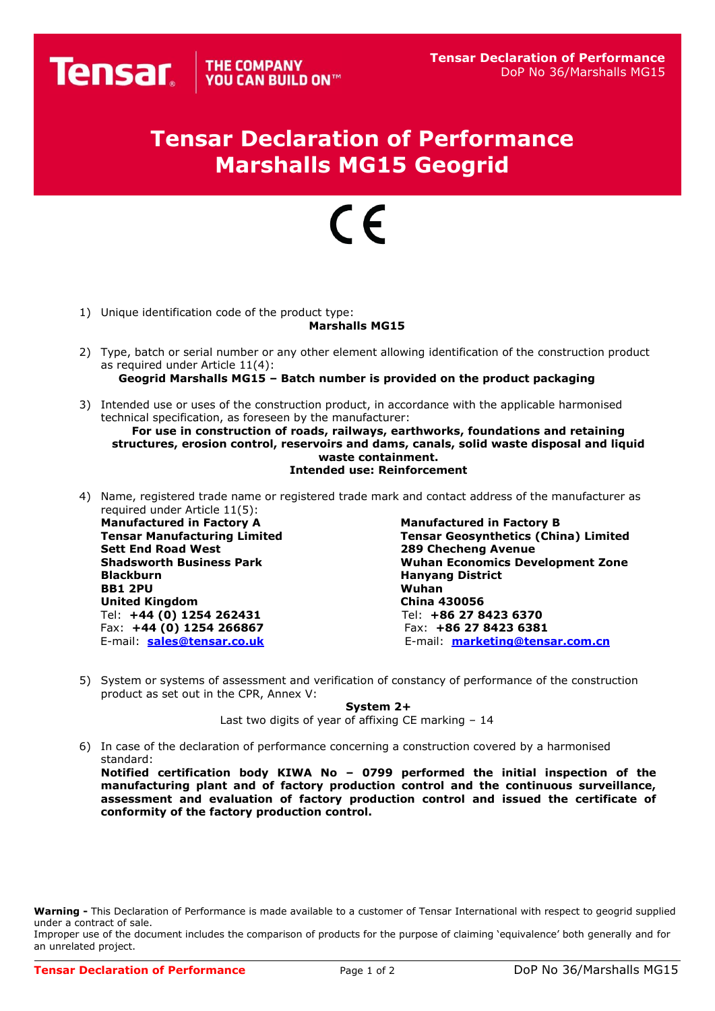## **Tensar Declaration of Performance Marshalls MG15 Geogrid**

## $\epsilon$

1) Unique identification code of the product type:

## **Marshalls MG15**

- 2) Type, batch or serial number or any other element allowing identification of the construction product as required under Article 11(4): **Geogrid Marshalls MG15 – Batch number is provided on the product packaging**
- 3) Intended use or uses of the construction product, in accordance with the applicable harmonised technical specification, as foreseen by the manufacturer:

**For use in construction of roads, railways, earthworks, foundations and retaining structures, erosion control, reservoirs and dams, canals, solid waste disposal and liquid waste containment. Intended use: Reinforcement**

4) Name, registered trade name or registered trade mark and contact address of the manufacturer as required under Article 11(5):

**Manufactured in Factory A Manufactured in Factory B Sett End Road West 289 Checheng Avenue Blackburn Hanyang District BB1 2PU Wuhan United Kingdom China 430056** Tel: **+44 (0) 1254 262431** Tel: **+86 27 8423 6370** Fax: **+44 (0) 1254 266867**<br>E-mail: **sales@tensar.co.uk** 

**Tensar Geosynthetics (China) Limited Shadsworth Business Park Wuhan Economics Development Zone** E-mail: **[sales@tensar.co.uk](mailto:sales@tensar.co.uk)** E-mail: **[marketing@tensar.com.c](mailto:marketing@tensar.com.)n**

5) System or systems of assessment and verification of constancy of performance of the construction product as set out in the CPR, Annex V:

**System 2+**

Last two digits of year of affixing CE marking – 14

6) In case of the declaration of performance concerning a construction covered by a harmonised standard:

**Notified certification body KIWA No – 0799 performed the initial inspection of the manufacturing plant and of factory production control and the continuous surveillance, assessment and evaluation of factory production control and issued the certificate of conformity of the factory production control.**

**Warning -** This Declaration of Performance is made available to a customer of Tensar International with respect to geogrid supplied under a contract of sale.

Improper use of the document includes the comparison of products for the purpose of claiming 'equivalence' both generally and for an unrelated project.